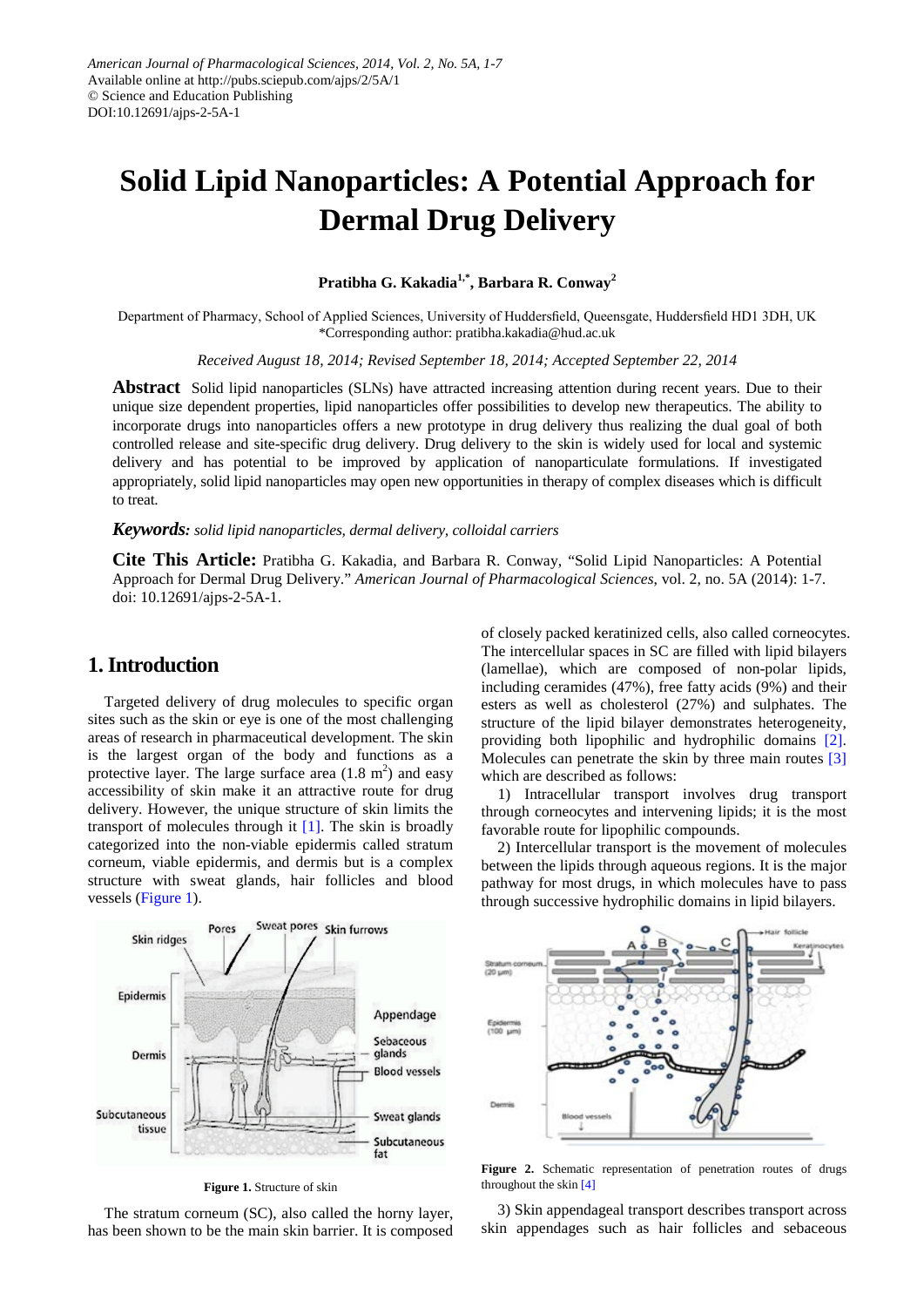# **Solid Lipid Nanoparticles: A Potential Approach for Dermal Drug Delivery**

**Pratibha G. Kakadia1,\*, Barbara R. Conway<sup>2</sup>**

Department of Pharmacy, School of Applied Sciences, University of Huddersfield, Queensgate, Huddersfield HD1 3DH, UK \*Corresponding author: pratibha.kakadia@hud.ac.uk

*Received August 18, 2014; Revised September 18, 2014; Accepted September 22, 2014*

**Abstract** Solid lipid nanoparticles (SLNs) have attracted increasing attention during recent years. Due to their unique size dependent properties, lipid nanoparticles offer possibilities to develop new therapeutics. The ability to incorporate drugs into nanoparticles offers a new prototype in drug delivery thus realizing the dual goal of both controlled release and site-specific drug delivery. Drug delivery to the skin is widely used for local and systemic delivery and has potential to be improved by application of nanoparticulate formulations. If investigated appropriately, solid lipid nanoparticles may open new opportunities in therapy of complex diseases which is difficult to treat.

*Keywords: solid lipid nanoparticles, dermal delivery, colloidal carriers*

**Cite This Article:** Pratibha G. Kakadia, and Barbara R. Conway, "Solid Lipid Nanoparticles: A Potential Approach for Dermal Drug Delivery." *American Journal of Pharmacological Sciences*, vol. 2, no. 5A (2014): 1-7. doi: 10.12691/ajps-2-5A-1.

# **1. Introduction**

Targeted delivery of drug molecules to specific organ sites such as the skin or eye is one of the most challenging areas of research in pharmaceutical development. The skin is the largest organ of the body and functions as a protective layer. The large surface area  $(1.8 \text{ m}^2)$  and easy accessibility of skin make it an attractive route for drug delivery. However, the unique structure of skin limits the transport of molecules through it [\[1\].](#page-5-0) The skin is broadly categorized into the non-viable epidermis called stratum corneum, viable epidermis, and dermis but is a complex structure with sweat glands, hair follicles and blood vessels [\(Figure 1\)](#page-0-0).

of closely packed keratinized cells, also called corneocytes. The intercellular spaces in SC are filled with lipid bilayers (lamellae), which are composed of non-polar lipids, including ceramides (47%), free fatty acids (9%) and their esters as well as cholesterol (27%) and sulphates. The structure of the lipid bilayer demonstrates heterogeneity, providing both lipophilic and hydrophilic domains [\[2\].](#page-5-1) Molecules can penetrate the skin by three main routes [\[3\]](#page-5-2) which are described as follows:

1) Intracellular transport involves drug transport through corneocytes and intervening lipids; it is the most favorable route for lipophilic compounds.

2) Intercellular transport is the movement of molecules between the lipids through aqueous regions. It is the major pathway for most drugs, in which molecules have to pass through successive hydrophilic domains in lipid bilayers.

<span id="page-0-0"></span>

**Figure 1.** Structure of skin

The stratum corneum (SC), also called the horny layer, has been shown to be the main skin barrier. It is composed



**Figure 2.** Schematic representation of penetration routes of drugs throughout the skin [\[4\]](#page-5-3)

3) Skin appendageal transport describes transport across skin appendages such as hair follicles and sebaceous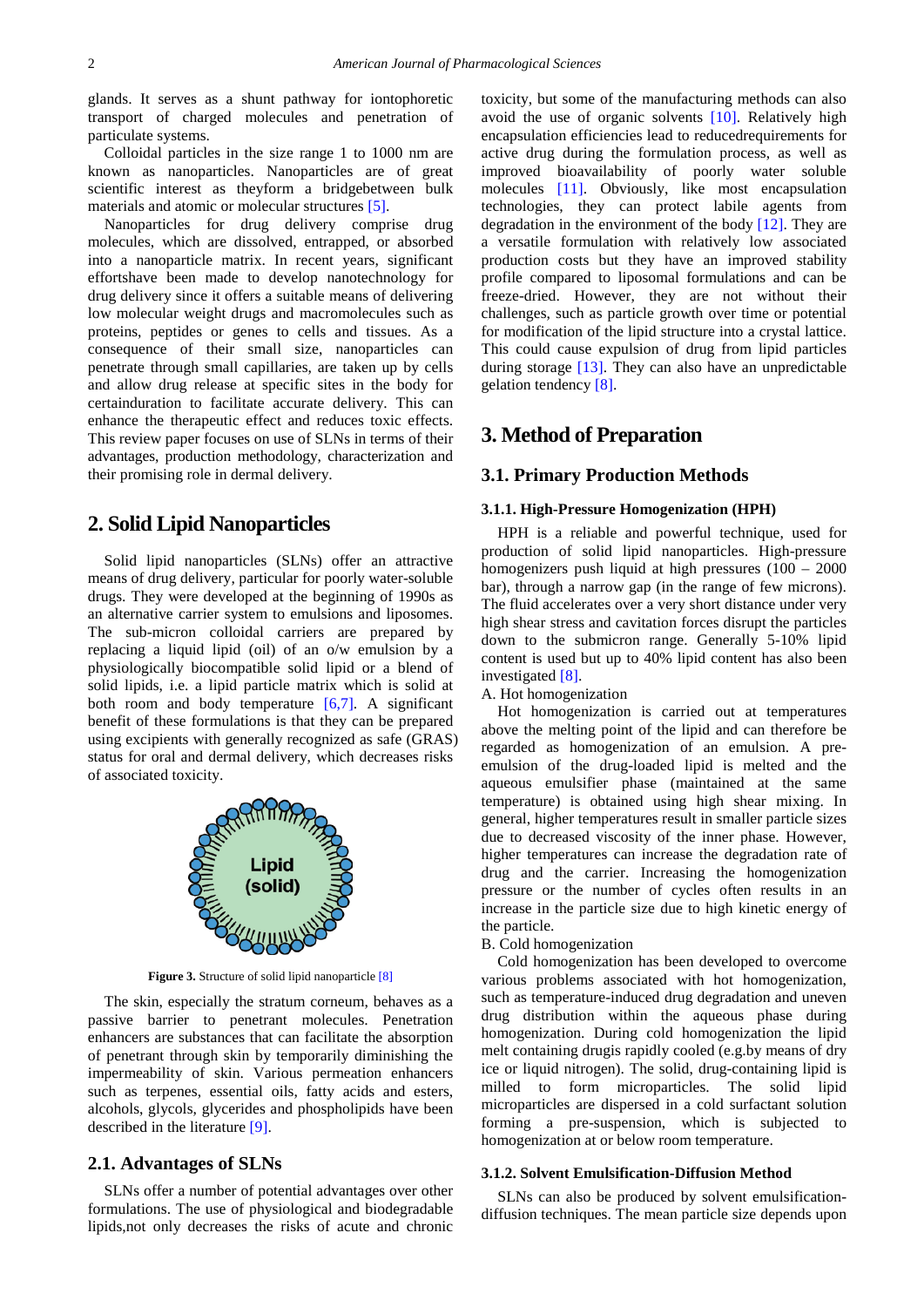glands. It serves as a shunt pathway for iontophoretic transport of charged molecules and penetration of particulate systems.

Colloidal particles in the size range 1 to 1000 nm are known as nanoparticles. Nanoparticles are of great scientific interest as theyform a bridgebetween bulk materials and atomic or molecular structures [\[5\].](#page-5-4)

Nanoparticles for drug delivery comprise drug molecules, which are dissolved, entrapped, or absorbed into a nanoparticle matrix. In recent years, significant effortshave been made to develop nanotechnology for drug delivery since it offers a suitable means of delivering low molecular weight drugs and macromolecules such as proteins, peptides or genes to cells and tissues. As a consequence of their small size, nanoparticles can penetrate through small capillaries, are taken up by cells and allow drug release at specific sites in the body for certainduration to facilitate accurate delivery. This can enhance the therapeutic effect and reduces toxic effects. This review paper focuses on use of SLNs in terms of their advantages, production methodology, characterization and their promising role in dermal delivery.

# **2. Solid Lipid Nanoparticles**

Solid lipid nanoparticles (SLNs) offer an attractive means of drug delivery, particular for poorly water-soluble drugs. They were developed at the beginning of 1990s as an alternative carrier system to emulsions and liposomes. The sub-micron colloidal carriers are prepared by replacing a liquid lipid (oil) of an o/w emulsion by a physiologically biocompatible solid lipid or a blend of solid lipids, i.e. a lipid particle matrix which is solid at both room and body temperature  $[6,7]$ . A significant benefit of these formulations is that they can be prepared using excipients with generally recognized as safe (GRAS) status for oral and dermal delivery, which decreases risks of associated toxicity.



**Figure 3.** Structure of solid lipid nanoparticl[e \[8\]](#page-5-6)

The skin, especially the stratum corneum, behaves as a passive barrier to penetrant molecules. Penetration enhancers are substances that can facilitate the absorption of penetrant through skin by temporarily diminishing the impermeability of skin. Various permeation enhancers such as terpenes, essential oils, fatty acids and esters, alcohols, glycols, glycerides and phospholipids have been described in the literature [\[9\].](#page-5-7)

# **2.1. Advantages of SLNs**

SLNs offer a number of potential advantages over other formulations. The use of physiological and biodegradable lipids,not only decreases the risks of acute and chronic

toxicity, but some of the manufacturing methods can also avoid the use of organic solvents [\[10\].](#page-5-8) Relatively high encapsulation efficiencies lead to reducedrequirements for active drug during the formulation process, as well as improved bioavailability of poorly water soluble molecules [\[11\].](#page-5-9) Obviously, like most encapsulation technologies, they can protect labile agents from degradation in the environment of the body [\[12\].](#page-5-10) They are a versatile formulation with relatively low associated production costs but they have an improved stability profile compared to liposomal formulations and can be freeze-dried. However, they are not without their challenges, such as particle growth over time or potential for modification of the lipid structure into a crystal lattice. This could cause expulsion of drug from lipid particles during storage [\[13\].](#page-5-11) They can also have an unpredictable gelation tendency [\[8\].](#page-5-6)

# **3. Method of Preparation**

## **3.1. Primary Production Methods**

#### **3.1.1. High-Pressure Homogenization (HPH)**

HPH is a reliable and powerful technique, used for production of solid lipid nanoparticles. High-pressure homogenizers push liquid at high pressures (100 – 2000 bar), through a narrow gap (in the range of few microns). The fluid accelerates over a very short distance under very high shear stress and cavitation forces disrupt the particles down to the submicron range. Generally 5-10% lipid content is used but up to 40% lipid content has also been investigated [\[8\].](#page-5-6)

A. Hot homogenization

Hot homogenization is carried out at temperatures above the melting point of the lipid and can therefore be regarded as homogenization of an emulsion. A preemulsion of the drug-loaded lipid is melted and the aqueous emulsifier phase (maintained at the same temperature) is obtained using high shear mixing. In general, higher temperatures result in smaller particle sizes due to decreased viscosity of the inner phase. However, higher temperatures can increase the degradation rate of drug and the carrier. Increasing the homogenization pressure or the number of cycles often results in an increase in the particle size due to high kinetic energy of the particle.

B. Cold homogenization

Cold homogenization has been developed to overcome various problems associated with hot homogenization, such as temperature-induced drug degradation and uneven drug distribution within the aqueous phase during homogenization. During cold homogenization the lipid melt containing drugis rapidly cooled (e.g.by means of dry ice or liquid nitrogen). The solid, drug-containing lipid is milled to form microparticles. The solid lipid microparticles are dispersed in a cold surfactant solution forming a pre-suspension, which is subjected to homogenization at or below room temperature.

#### **3.1.2. Solvent Emulsification-Diffusion Method**

SLNs can also be produced by solvent emulsificationdiffusion techniques. The mean particle size depends upon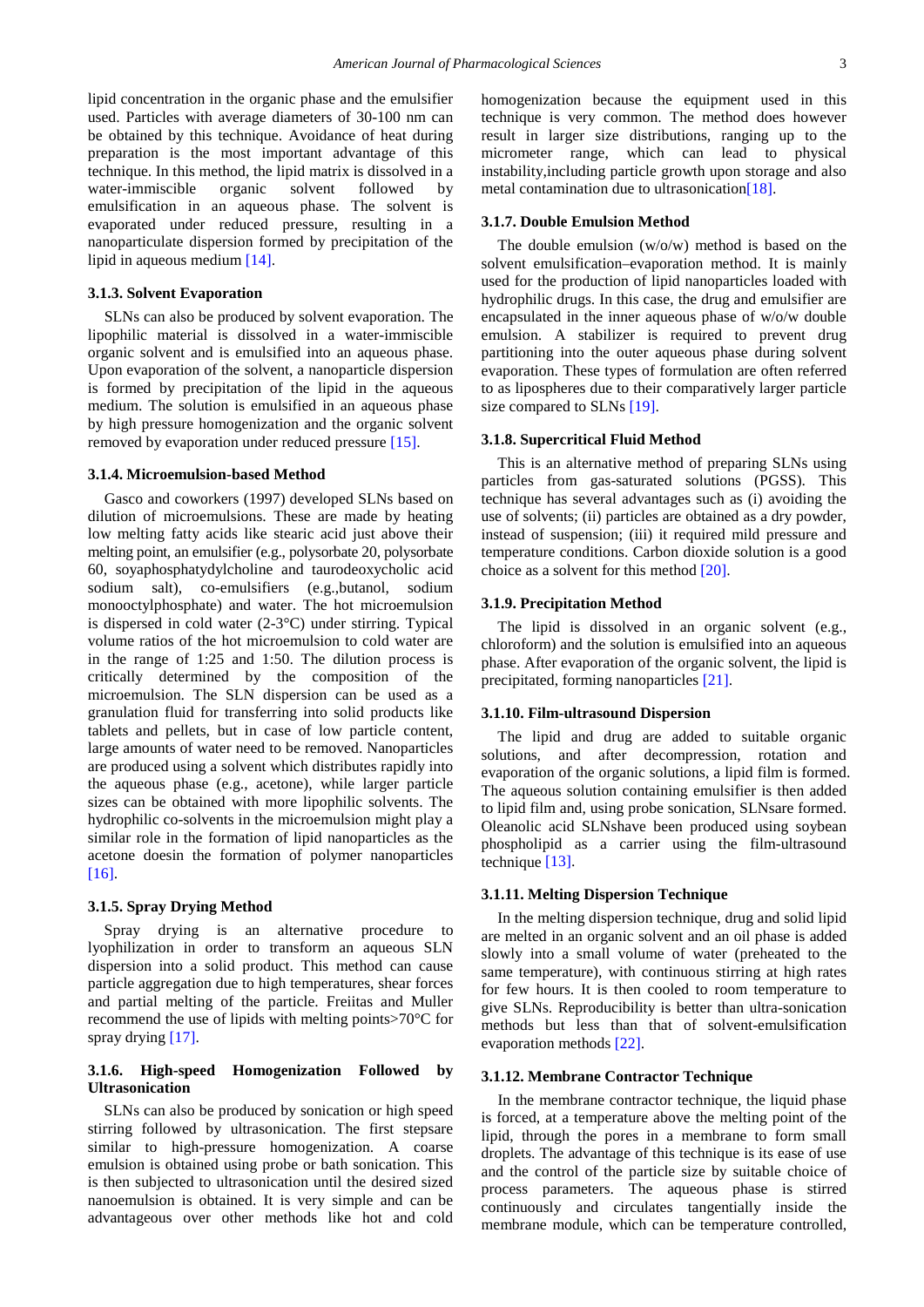lipid concentration in the organic phase and the emulsifier used. Particles with average diameters of 30-100 nm can be obtained by this technique. Avoidance of heat during preparation is the most important advantage of this technique. In this method, the lipid matrix is dissolved in a water-immiscible organic solvent followed by water-immiscible organic solvent followed by emulsification in an aqueous phase. The solvent is evaporated under reduced pressure, resulting in a nanoparticulate dispersion formed by precipitation of the lipid in aqueous medium [\[14\].](#page-5-12)

#### **3.1.3. Solvent Evaporation**

SLNs can also be produced by solvent evaporation. The lipophilic material is dissolved in a water-immiscible organic solvent and is emulsified into an aqueous phase. Upon evaporation of the solvent, a nanoparticle dispersion is formed by precipitation of the lipid in the aqueous medium. The solution is emulsified in an aqueous phase by high pressure homogenization and the organic solvent removed by evaporation under reduced pressur[e \[15\].](#page-5-13)

#### **3.1.4. Microemulsion-based Method**

Gasco and coworkers (1997) developed SLNs based on dilution of microemulsions. These are made by heating low melting fatty acids like stearic acid just above their melting point, an emulsifier (e.g., polysorbate 20, polysorbate 60, soyaphosphatydylcholine and taurodeoxycholic acid sodium salt), co-emulsifiers (e.g.,butanol, sodium monooctylphosphate) and water. The hot microemulsion is dispersed in cold water  $(2-3°C)$  under stirring. Typical volume ratios of the hot microemulsion to cold water are in the range of 1:25 and 1:50. The dilution process is critically determined by the composition of the microemulsion. The SLN dispersion can be used as a granulation fluid for transferring into solid products like tablets and pellets, but in case of low particle content, large amounts of water need to be removed. Nanoparticles are produced using a solvent which distributes rapidly into the aqueous phase (e.g., acetone), while larger particle sizes can be obtained with more lipophilic solvents. The hydrophilic co-solvents in the microemulsion might play a similar role in the formation of lipid nanoparticles as the acetone doesin the formation of polymer nanoparticles [\[16\].](#page-5-14)

## **3.1.5. Spray Drying Method**

Spray drying is an alternative procedure to lyophilization in order to transform an aqueous SLN dispersion into a solid product. This method can cause particle aggregation due to high temperatures, shear forces and partial melting of the particle. Freiitas and Muller recommend the use of lipids with melting points>70°C for spray drying [\[17\].](#page-5-15)

## **3.1.6. High-speed Homogenization Followed by Ultrasonication**

SLNs can also be produced by sonication or high speed stirring followed by ultrasonication. The first stepsare similar to high-pressure homogenization. A coarse emulsion is obtained using probe or bath sonication. This is then subjected to ultrasonication until the desired sized nanoemulsion is obtained. It is very simple and can be advantageous over other methods like hot and cold homogenization because the equipment used in this technique is very common. The method does however result in larger size distributions, ranging up to the micrometer range, which can lead to physical instability,including particle growth upon storage and also metal contamination due to ultrasonication<sup>[18]</sup>.

#### **3.1.7. Double Emulsion Method**

The double emulsion (w/o/w) method is based on the solvent emulsification–evaporation method. It is mainly used for the production of lipid nanoparticles loaded with hydrophilic drugs. In this case, the drug and emulsifier are encapsulated in the inner aqueous phase of w/o/w double emulsion. A stabilizer is required to prevent drug partitioning into the outer aqueous phase during solvent evaporation. These types of formulation are often referred to as lipospheres due to their comparatively larger particle size compared to SLN[s \[19\].](#page-5-17)

#### **3.1.8. Supercritical Fluid Method**

This is an alternative method of preparing SLNs using particles from gas-saturated solutions (PGSS). This technique has several advantages such as (i) avoiding the use of solvents; (ii) particles are obtained as a dry powder, instead of suspension; (iii) it required mild pressure and temperature conditions. Carbon dioxide solution is a good choice as a solvent for this method [\[20\].](#page-5-18)

## **3.1.9. Precipitation Method**

The lipid is dissolved in an organic solvent (e.g., chloroform) and the solution is emulsified into an aqueous phase. After evaporation of the organic solvent, the lipid is precipitated, forming nanoparticles [\[21\].](#page-5-19)

## **3.1.10. Film-ultrasound Dispersion**

The lipid and drug are added to suitable organic solutions, and after decompression, rotation and evaporation of the organic solutions, a lipid film is formed. The aqueous solution containing emulsifier is then added to lipid film and, using probe sonication, SLNsare formed. Oleanolic acid SLNshave been produced using soybean phospholipid as a carrier using the film-ultrasound technique [\[13\].](#page-5-11)

## **3.1.11. Melting Dispersion Technique**

In the melting dispersion technique, drug and solid lipid are melted in an organic solvent and an oil phase is added slowly into a small volume of water (preheated to the same temperature), with continuous stirring at high rates for few hours. It is then cooled to room temperature to give SLNs. Reproducibility is better than ultra-sonication methods but less than that of solvent-emulsification evaporation methods [\[22\].](#page-5-20)

## **3.1.12. Membrane Contractor Technique**

In the membrane contractor technique, the liquid phase is forced, at a temperature above the melting point of the lipid, through the pores in a membrane to form small droplets. The advantage of this technique is its ease of use and the control of the particle size by suitable choice of process parameters. The aqueous phase is stirred continuously and circulates tangentially inside the membrane module, which can be temperature controlled,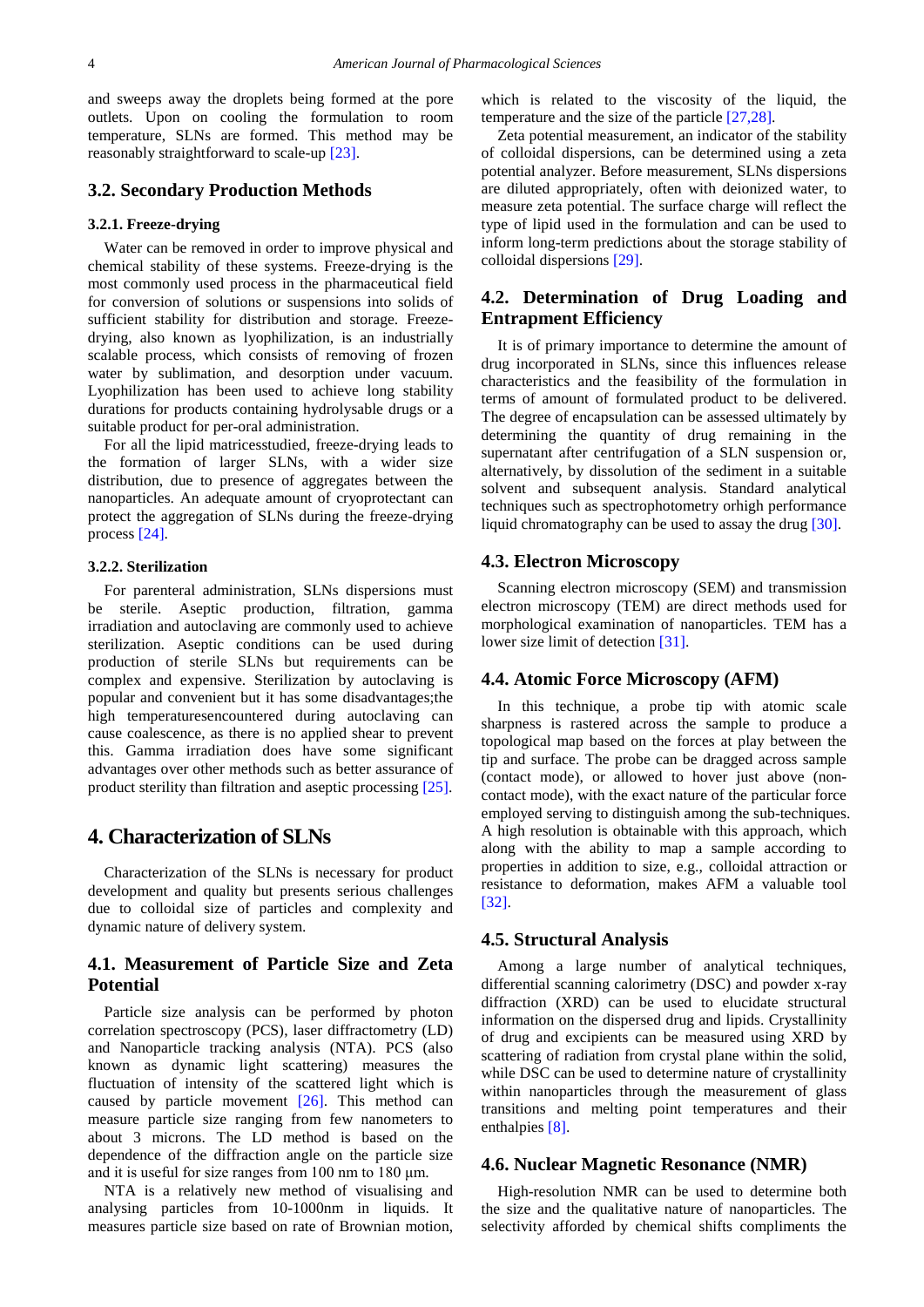and sweeps away the droplets being formed at the pore outlets. Upon on cooling the formulation to room temperature, SLNs are formed. This method may be reasonably straightforward to scale-up [\[23\].](#page-5-21)

## **3.2. Secondary Production Methods**

#### **3.2.1. Freeze-drying**

Water can be removed in order to improve physical and chemical stability of these systems. Freeze-drying is the most commonly used process in the pharmaceutical field for conversion of solutions or suspensions into solids of sufficient stability for distribution and storage. Freezedrying, also known as lyophilization, is an industrially scalable process, which consists of removing of frozen water by sublimation, and desorption under vacuum. Lyophilization has been used to achieve long stability durations for products containing hydrolysable drugs or a suitable product for per-oral administration.

For all the lipid matricesstudied, freeze-drying leads to the formation of larger SLNs, with a wider size distribution, due to presence of aggregates between the nanoparticles. An adequate amount of cryoprotectant can protect the aggregation of SLNs during the freeze-drying process [\[24\].](#page-5-22)

## **3.2.2. Sterilization**

For parenteral administration, SLNs dispersions must be sterile. Aseptic production, filtration, gamma irradiation and autoclaving are commonly used to achieve sterilization. Aseptic conditions can be used during production of sterile SLNs but requirements can be complex and expensive. Sterilization by autoclaving is popular and convenient but it has some disadvantages;the high temperaturesencountered during autoclaving can cause coalescence, as there is no applied shear to prevent this. Gamma irradiation does have some significant advantages over other methods such as better assurance of product sterility than filtration and aseptic processing [\[25\].](#page-5-23)

# **4. Characterization of SLNs**

Characterization of the SLNs is necessary for product development and quality but presents serious challenges due to colloidal size of particles and complexity and dynamic nature of delivery system.

# **4.1. Measurement of Particle Size and Zeta Potential**

Particle size analysis can be performed by photon correlation spectroscopy (PCS), laser diffractometry (LD) and Nanoparticle tracking analysis (NTA). PCS (also known as dynamic light scattering) measures the fluctuation of intensity of the scattered light which is caused by particle movement [\[26\].](#page-5-24) This method can measure particle size ranging from few nanometers to about 3 microns. The LD method is based on the dependence of the diffraction angle on the particle size and it is useful for size ranges from 100 nm to 180 μm.

NTA is a relatively new method of visualising and analysing particles from 10-1000nm in liquids. It measures particle size based on rate of Brownian motion, which is related to the viscosity of the liquid, the temperature and the size of the particle [\[27,28\].](#page-5-25)

Zeta potential measurement, an indicator of the stability of colloidal dispersions, can be determined using a zeta potential analyzer. Before measurement, SLNs dispersions are diluted appropriately, often with deionized water, to measure zeta potential. The surface charge will reflect the type of lipid used in the formulation and can be used to inform long-term predictions about the storage stability of colloidal dispersions [\[29\].](#page-5-26)

# **4.2. Determination of Drug Loading and Entrapment Efficiency**

It is of primary importance to determine the amount of drug incorporated in SLNs, since this influences release characteristics and the feasibility of the formulation in terms of amount of formulated product to be delivered. The degree of encapsulation can be assessed ultimately by determining the quantity of drug remaining in the supernatant after centrifugation of a SLN suspension or, alternatively, by dissolution of the sediment in a suitable solvent and subsequent analysis. Standard analytical techniques such as spectrophotometry orhigh performance liquid chromatography can be used to assay the drug [\[30\].](#page-5-27)

## **4.3. Electron Microscopy**

Scanning electron microscopy (SEM) and transmission electron microscopy (TEM) are direct methods used for morphological examination of nanoparticles. TEM has a lower size limit of detection [\[31\].](#page-5-28)

## **4.4. Atomic Force Microscopy (AFM)**

In this technique, a probe tip with atomic scale sharpness is rastered across the sample to produce a topological map based on the forces at play between the tip and surface. The probe can be dragged across sample (contact mode), or allowed to hover just above (noncontact mode), with the exact nature of the particular force employed serving to distinguish among the sub-techniques. A high resolution is obtainable with this approach, which along with the ability to map a sample according to properties in addition to size, e.g., colloidal attraction or resistance to deformation, makes AFM a valuable tool [\[32\].](#page-5-29)

#### **4.5. Structural Analysis**

Among a large number of analytical techniques, differential scanning calorimetry (DSC) and powder x-ray diffraction (XRD) can be used to elucidate structural information on the dispersed drug and lipids. Crystallinity of drug and excipients can be measured using XRD by scattering of radiation from crystal plane within the solid, while DSC can be used to determine nature of crystallinity within nanoparticles through the measurement of glass transitions and melting point temperatures and their enthalpies [\[8\].](#page-5-6)

# **4.6. Nuclear Magnetic Resonance (NMR)**

High-resolution NMR can be used to determine both the size and the qualitative nature of nanoparticles. The selectivity afforded by chemical shifts compliments the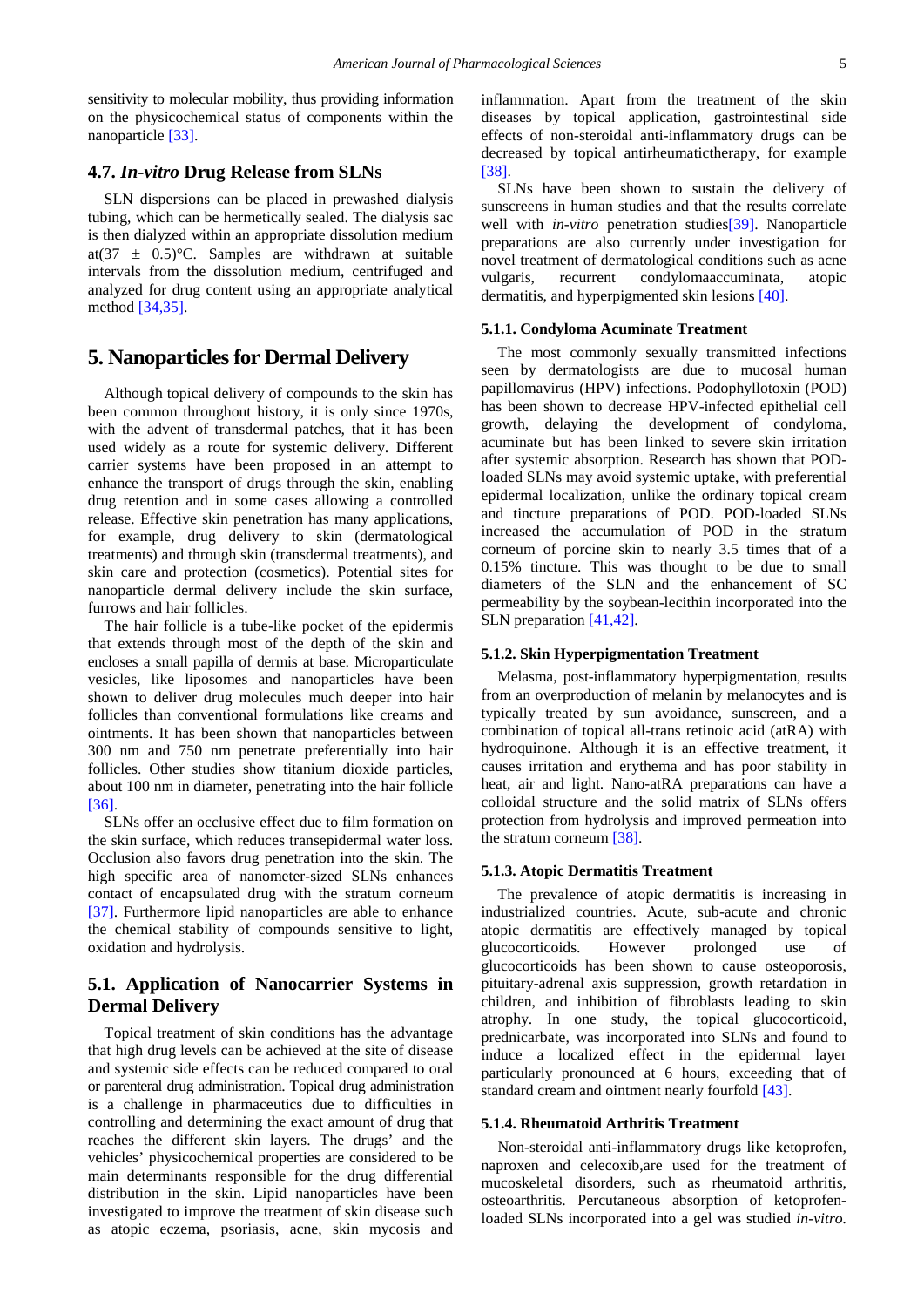sensitivity to molecular mobility, thus providing information on the physicochemical status of components within the nanoparticle [\[33\].](#page-5-30)

## **4.7.** *In-vitro* **Drug Release from SLNs**

SLN dispersions can be placed in prewashed dialysis tubing, which can be hermetically sealed. The dialysis sac is then dialyzed within an appropriate dissolution medium at(37  $\pm$  0.5)°C. Samples are withdrawn at suitable intervals from the dissolution medium, centrifuged and analyzed for drug content using an appropriate analytical method [\[34,35\].](#page-5-31)

# **5. Nanoparticles for Dermal Delivery**

Although topical delivery of compounds to the skin has been common throughout history, it is only since 1970s, with the advent of transdermal patches, that it has been used widely as a route for systemic delivery. Different carrier systems have been proposed in an attempt to enhance the transport of drugs through the skin, enabling drug retention and in some cases allowing a controlled release. Effective skin penetration has many applications, for example, drug delivery to skin (dermatological treatments) and through skin (transdermal treatments), and skin care and protection (cosmetics). Potential sites for nanoparticle dermal delivery include the skin surface, furrows and hair follicles.

The hair follicle is a tube-like pocket of the epidermis that extends through most of the depth of the skin and encloses a small papilla of dermis at base. Microparticulate vesicles, like liposomes and nanoparticles have been shown to deliver drug molecules much deeper into hair follicles than conventional formulations like creams and ointments. It has been shown that nanoparticles between 300 nm and 750 nm penetrate preferentially into hair follicles. Other studies show titanium dioxide particles, about 100 nm in diameter, penetrating into the hair follicle [36]

SLNs offer an occlusive effect due to film formation on the skin surface, which reduces transepidermal water loss. Occlusion also favors drug penetration into the skin. The high specific area of nanometer-sized SLNs enhances contact of encapsulated drug with the stratum corneum [\[37\].](#page-6-1) Furthermore lipid nanoparticles are able to enhance the chemical stability of compounds sensitive to light, oxidation and hydrolysis.

# **5.1. Application of Nanocarrier Systems in Dermal Delivery**

Topical treatment of skin conditions has the advantage that high drug levels can be achieved at the site of disease and systemic side effects can be reduced compared to oral or parenteral drug administration. Topical drug administration is a challenge in pharmaceutics due to difficulties in controlling and determining the exact amount of drug that reaches the different skin layers. The drugs' and the vehicles' physicochemical properties are considered to be main determinants responsible for the drug differential distribution in the skin. Lipid nanoparticles have been investigated to improve the treatment of skin disease such as atopic eczema, psoriasis, acne, skin mycosis and

inflammation. Apart from the treatment of the skin diseases by topical application, gastrointestinal side effects of non-steroidal anti-inflammatory drugs can be decreased by topical antirheumatictherapy, for example [\[38\].](#page-6-2)

SLNs have been shown to sustain the delivery of sunscreens in human studies and that the results correlate well with *in-vitro* penetration studies<sup>[39]</sup>. Nanoparticle preparations are also currently under investigation for novel treatment of dermatological conditions such as acne vulgaris, recurrent condylomaaccuminata, atopic dermatitis, and hyperpigmented skin lesions [\[40\].](#page-6-4)

#### **5.1.1. Condyloma Acuminate Treatment**

The most commonly sexually transmitted infections seen by dermatologists are due to mucosal human papillomavirus (HPV) infections. Podophyllotoxin (POD) has been shown to decrease HPV-infected epithelial cell growth, delaying the development of condyloma, acuminate but has been linked to severe skin irritation after systemic absorption. Research has shown that PODloaded SLNs may avoid systemic uptake, with preferential epidermal localization, unlike the ordinary topical cream and tincture preparations of POD. POD-loaded SLNs increased the accumulation of POD in the stratum corneum of porcine skin to nearly 3.5 times that of a 0.15% tincture. This was thought to be due to small diameters of the SLN and the enhancement of SC permeability by the soybean-lecithin incorporated into the SLN preparatio[n \[41,42\].](#page-6-5)

#### **5.1.2. Skin Hyperpigmentation Treatment**

Melasma, post-inflammatory hyperpigmentation, results from an overproduction of melanin by melanocytes and is typically treated by sun avoidance, sunscreen, and a combination of topical all-trans retinoic acid (atRA) with hydroquinone. Although it is an effective treatment, it causes irritation and erythema and has poor stability in heat, air and light. Nano-atRA preparations can have a colloidal structure and the solid matrix of SLNs offers protection from hydrolysis and improved permeation into the stratum corneum [\[38\].](#page-6-2)

#### **5.1.3. Atopic Dermatitis Treatment**

The prevalence of atopic dermatitis is increasing in industrialized countries. Acute, sub-acute and chronic atopic dermatitis are effectively managed by topical glucocorticoids. However prolonged use of glucocorticoids has been shown to cause osteoporosis, pituitary-adrenal axis suppression, growth retardation in children, and inhibition of fibroblasts leading to skin atrophy. In one study, the topical glucocorticoid, prednicarbate, was incorporated into SLNs and found to induce a localized effect in the epidermal layer particularly pronounced at 6 hours, exceeding that of standard cream and ointment nearly fourfold [\[43\].](#page-6-6)

#### **5.1.4. Rheumatoid Arthritis Treatment**

Non-steroidal anti-inflammatory drugs like ketoprofen, naproxen and celecoxib,are used for the treatment of mucoskeletal disorders, such as rheumatoid arthritis, osteoarthritis. Percutaneous absorption of ketoprofenloaded SLNs incorporated into a gel was studied *in-vitro.*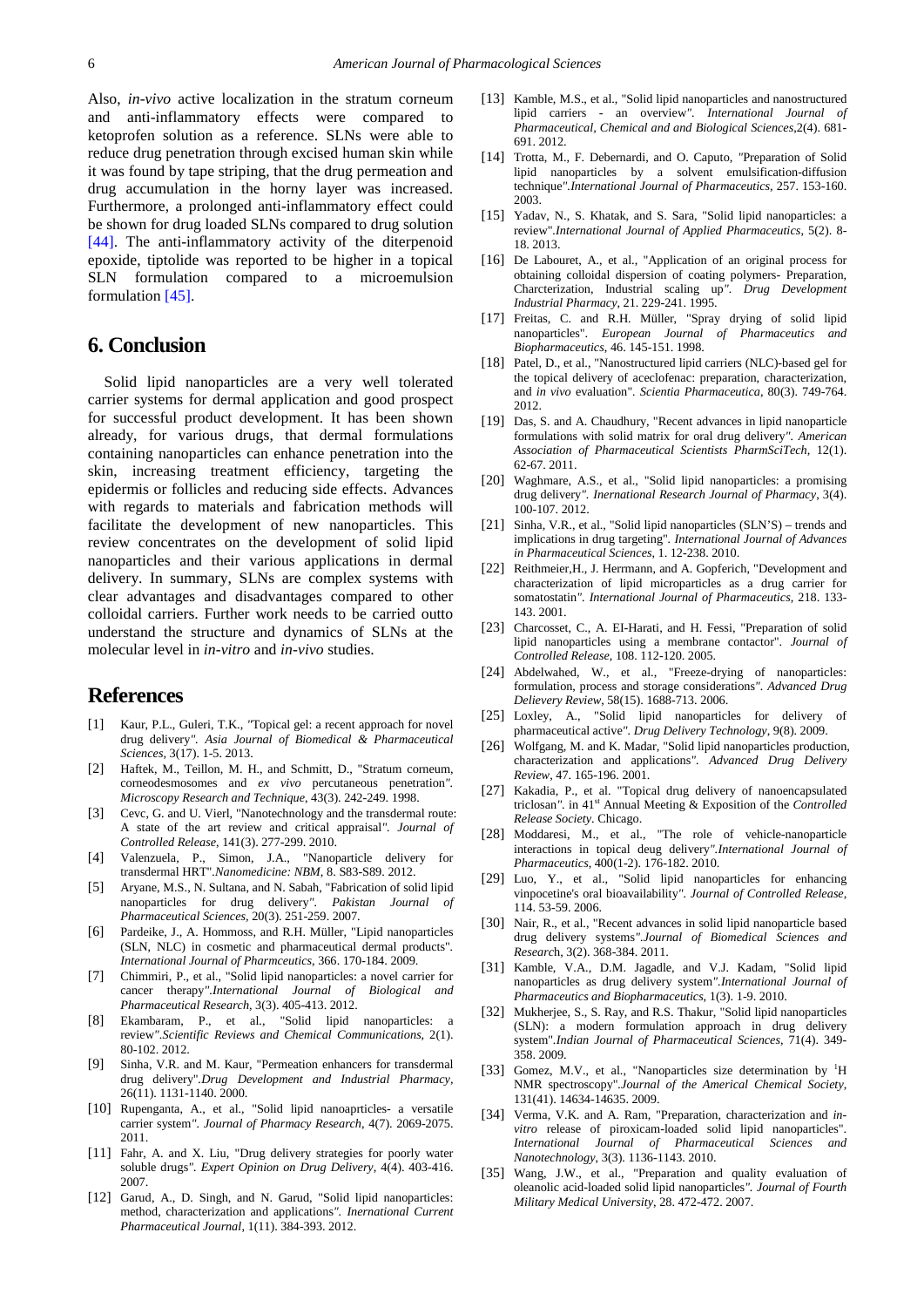Also, *in-vivo* active localization in the stratum corneum and anti-inflammatory effects were compared to ketoprofen solution as a reference. SLNs were able to reduce drug penetration through excised human skin while it was found by tape striping, that the drug permeation and drug accumulation in the horny layer was increased. Furthermore, a prolonged anti-inflammatory effect could be shown for drug loaded SLNs compared to drug solution [\[44\].](#page-6-7) The anti-inflammatory activity of the diterpenoid epoxide, tiptolide was reported to be higher in a topical SLN formulation compared to a microemulsion formulation [\[45\].](#page-6-8)

# **6. Conclusion**

Solid lipid nanoparticles are a very well tolerated carrier systems for dermal application and good prospect for successful product development. It has been shown already, for various drugs, that dermal formulations containing nanoparticles can enhance penetration into the skin, increasing treatment efficiency, targeting the epidermis or follicles and reducing side effects. Advances with regards to materials and fabrication methods will facilitate the development of new nanoparticles. This review concentrates on the development of solid lipid nanoparticles and their various applications in dermal delivery. In summary, SLNs are complex systems with clear advantages and disadvantages compared to other colloidal carriers. Further work needs to be carried outto understand the structure and dynamics of SLNs at the molecular level in *in-vitro* and *in-vivo* studies.

# **References**

- <span id="page-5-0"></span>[1] Kaur, P.L., Guleri, T.K., *"*Topical gel: a recent approach for novel drug delivery*". Asia Journal of Biomedical & Pharmaceutical Sciences,* 3(17). 1-5. 2013.
- <span id="page-5-1"></span>[2] Haftek, M., Teillon, M. H., and Schmitt, D., "Stratum corneum, corneodesmosomes and *ex vivo* percutaneous penetration*". Microscopy Research and Technique*, 43(3). 242-249. 1998.
- <span id="page-5-2"></span>[3] Cevc, G. and U. Vierl, "Nanotechnology and the transdermal route: A state of the art review and critical appraisal*". Journal of Controlled Release*, 141(3). 277-299. 2010.
- <span id="page-5-3"></span>[4] Valenzuela, P., Simon, J.A., "Nanoparticle delivery for transdermal HRT"*.Nanomedicine: NBM*, 8. S83-S89. 2012.
- <span id="page-5-4"></span>[5] Aryane, M.S., N. Sultana, and N. Sabah, "Fabrication of solid lipid nanoparticles for drug delivery*". Pakistan Journal of Pharmaceutical Sciences,* 20(3). 251-259. 2007.
- <span id="page-5-5"></span>[6] Pardeike, J., A. Hommoss, and R.H. Müller, "Lipid nanoparticles (SLN, NLC) in cosmetic and pharmaceutical dermal products"*. International Journal of Pharmceutics*, 366. 170-184. 2009.
- [7] Chimmiri, P., et al., "Solid lipid nanoparticles: a novel carrier for cancer therapy*".International Journal of Biological and Pharmaceutical Research,* 3(3). 405-413. 2012.
- <span id="page-5-6"></span>[8] Ekambaram, P., et al., "Solid lipid nanoparticles: a review*".Scientific Reviews and Chemical Communications*, 2(1). 80-102. 2012.
- <span id="page-5-7"></span>[9] Sinha, V.R. and M. Kaur, "Permeation enhancers for transdermal drug delivery"*.Drug Development and Industrial Pharmacy*, 26(11). 1131-1140. 2000.
- <span id="page-5-8"></span>[10] Rupenganta, A., et al., "Solid lipid nanoaprticles- a versatile carrier system*". Journal of Pharmacy Research*, 4(7). 2069-2075. 2011.
- <span id="page-5-9"></span>[11] Fahr, A. and X. Liu, "Drug delivery strategies for poorly water soluble drugs*". Expert Opinion on Drug Delivery*, 4(4). 403-416. 2007.
- <span id="page-5-10"></span>[12] Garud, A., D. Singh, and N. Garud, "Solid lipid nanoparticles: method, characterization and applications*". Inernational Current Pharmaceutical Journal*, 1(11). 384-393. 2012.
- <span id="page-5-11"></span>[13] Kamble, M.S., et al., "Solid lipid nanoparticles and nanostructured lipid carriers - an overview*". International Journal of Pharmaceutical, Chemical and and Biological Sciences*,2(4). 681- 691. 2012.
- <span id="page-5-12"></span>[14] Trotta, M., F. Debernardi, and O. Caputo, *"*Preparation of Solid lipid nanoparticles by a solvent emulsification-diffusion technique*".International Journal of Pharmaceutics*, 257. 153-160. 2003.
- <span id="page-5-13"></span>[15] Yadav, N., S. Khatak, and S. Sara, "Solid lipid nanoparticles: a review"*.International Journal of Applied Pharmaceutics*, 5(2). 8- 18. 2013.
- <span id="page-5-14"></span>[16] De Labouret, A., et al., "Application of an original process for obtaining colloidal dispersion of coating polymers- Preparation, Charcterization, Industrial scaling up*". Drug Development Industrial Pharmacy*, 21. 229-241. 1995.
- <span id="page-5-15"></span>[17] Freitas, C. and R.H. Müller, "Spray drying of solid lipid nanoparticles". *European Journal of Pharmaceutics and Biopharmaceutics*, 46. 145-151. 1998.
- <span id="page-5-16"></span>[18] Patel, D., et al., "Nanostructured lipid carriers (NLC)-based gel for the topical delivery of aceclofenac: preparation, characterization, and *in vivo* evaluation"*. Scientia Pharmaceutica*, 80(3). 749-764. 2012.
- <span id="page-5-17"></span>[19] Das, S. and A. Chaudhury, "Recent advances in lipid nanoparticle formulations with solid matrix for oral drug delivery*". American Association of Pharmaceutical Scientists PharmSciTech*, 12(1). 62-67. 2011.
- <span id="page-5-18"></span>[20] Waghmare, A.S., et al., "Solid lipid nanoparticles: a promising drug delivery*". Inernational Research Journal of Pharmacy*, 3(4). 100-107. 2012.
- <span id="page-5-19"></span>[21] Sinha, V.R., et al., "Solid lipid nanoparticles (SLN'S) – trends and implications in drug targeting"*. International Journal of Advances in Pharmaceutical Sciences*, 1. 12-238. 2010.
- <span id="page-5-20"></span>[22] Reithmeier,H., J. Herrmann, and A. Gopferich, "Development and characterization of lipid microparticles as a drug carrier for somatostatin*". International Journal of Pharmaceutics*, 218. 133- 143. 2001.
- <span id="page-5-21"></span>[23] Charcosset, C., A. EI-Harati, and H. Fessi, "Preparation of solid lipid nanoparticles using a membrane contactor". *Journal of Controlled Release*, 108. 112-120. 2005.
- <span id="page-5-22"></span>[24] Abdelwahed, W., et al., "Freeze-drying of nanoparticles: formulation, process and storage considerations*". Advanced Drug Delievery Review*, 58(15). 1688-713. 2006.
- <span id="page-5-23"></span>[25] Loxley, A., "Solid lipid nanoparticles for delivery of pharmaceutical active*". Drug Delivery Technology*, 9(8). 2009.
- <span id="page-5-24"></span>[26] Wolfgang, M. and K. Madar, "Solid lipid nanoparticles production, characterization and applications*". Advanced Drug Delivery Review*, 47. 165-196. 2001.
- <span id="page-5-25"></span>[27] Kakadia, P., et al. "Topical drug delivery of nanoencapsulated triclosan". in 41<sup>st</sup> Annual Meeting & Exposition of the *Controlled Release Society*. Chicago.
- [28] Moddaresi, M., et al., "The role of vehicle-nanoparticle interactions in topical deug delivery*".International Journal of Pharmaceutics*, 400(1-2). 176-182. 2010.
- <span id="page-5-26"></span>[29] Luo, Y., et al., "Solid lipid nanoparticles for enhancing vinpocetine's oral bioavailability*". Journal of Controlled Release*, 114. 53-59. 2006.
- <span id="page-5-27"></span>[30] Nair, R., et al., "Recent advances in solid lipid nanoparticle based drug delivery systems*".Journal of Biomedical Sciences and Researc*h, 3(2). 368-384. 2011.
- <span id="page-5-28"></span>[31] Kamble, V.A., D.M. Jagadle, and V.J. Kadam, "Solid lipid nanoparticles as drug delivery system*".International Journal of Pharmaceutics and Biopharmaceutics*, 1(3). 1-9. 2010.
- <span id="page-5-29"></span>[32] Mukherjee, S., S. Ray, and R.S. Thakur, "Solid lipid nanoparticles (SLN): a modern formulation approach in drug delivery system"*.Indian Journal of Pharmaceutical Sciences*, 71(4). 349- 358. 2009.
- <span id="page-5-30"></span>[33] Gomez, M.V., et al., "Nanoparticles size determination by <sup>1</sup>H NMR spectroscopy"*.Journal of the Americal Chemical Society*, 131(41). 14634-14635. 2009.
- <span id="page-5-31"></span>[34] Verma, V.K. and A. Ram, "Preparation, characterization and *invitro* release of piroxicam-loaded solid lipid nanoparticles". *International Journal of Pharmaceutical Sciences and Nanotechnology*, 3(3). 1136-1143. 2010.
- [35] Wang, J.W., et al., "Preparation and quality evaluation of oleanolic acid-loaded solid lipid nanoparticles*". Journal of Fourth Military Medical University*, 28. 472-472. 2007.